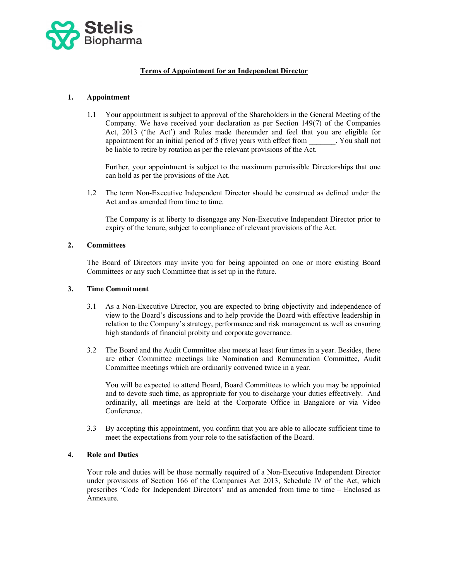

# Terms of Appointment for an Independent Director

# 1. Appointment

 1.1 Your appointment is subject to approval of the Shareholders in the General Meeting of the Company. We have received your declaration as per Section 149(7) of the Companies Act, 2013 ('the Act') and Rules made thereunder and feel that you are eligible for appointment for an initial period of 5 (five) years with effect from \_\_\_\_\_\_\_. You shall not be liable to retire by rotation as per the relevant provisions of the Act.

Further, your appointment is subject to the maximum permissible Directorships that one can hold as per the provisions of the Act.

 1.2 The term Non-Executive Independent Director should be construed as defined under the Act and as amended from time to time.

The Company is at liberty to disengage any Non-Executive Independent Director prior to expiry of the tenure, subject to compliance of relevant provisions of the Act.

#### 2. Committees

 The Board of Directors may invite you for being appointed on one or more existing Board Committees or any such Committee that is set up in the future.

### 3. Time Commitment

- 3.1 As a Non-Executive Director, you are expected to bring objectivity and independence of view to the Board's discussions and to help provide the Board with effective leadership in relation to the Company's strategy, performance and risk management as well as ensuring high standards of financial probity and corporate governance.
- 3.2 The Board and the Audit Committee also meets at least four times in a year. Besides, there are other Committee meetings like Nomination and Remuneration Committee, Audit Committee meetings which are ordinarily convened twice in a year.

You will be expected to attend Board, Board Committees to which you may be appointed and to devote such time, as appropriate for you to discharge your duties effectively. And ordinarily, all meetings are held at the Corporate Office in Bangalore or via Video Conference.

 3.3 By accepting this appointment, you confirm that you are able to allocate sufficient time to meet the expectations from your role to the satisfaction of the Board.

### 4. Role and Duties

 Your role and duties will be those normally required of a Non-Executive Independent Director under provisions of Section 166 of the Companies Act 2013, Schedule IV of the Act, which prescribes 'Code for Independent Directors' and as amended from time to time – Enclosed as Annexure.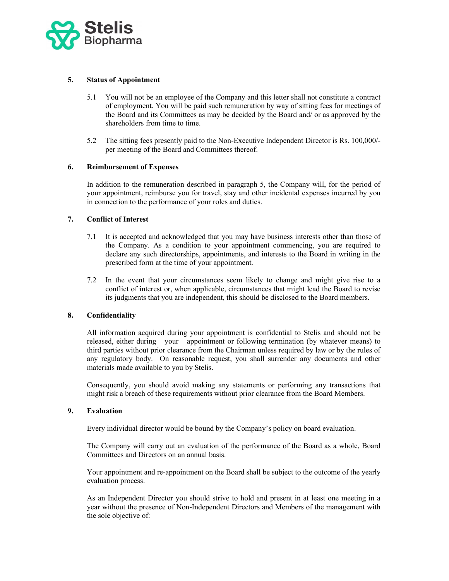

### 5. Status of Appointment

- 5.1 You will not be an employee of the Company and this letter shall not constitute a contract of employment. You will be paid such remuneration by way of sitting fees for meetings of the Board and its Committees as may be decided by the Board and/ or as approved by the shareholders from time to time.
- 5.2 The sitting fees presently paid to the Non-Executive Independent Director is Rs. 100,000/ per meeting of the Board and Committees thereof.

#### 6. Reimbursement of Expenses

 In addition to the remuneration described in paragraph 5, the Company will, for the period of your appointment, reimburse you for travel, stay and other incidental expenses incurred by you in connection to the performance of your roles and duties.

#### 7. Conflict of Interest

- 7.1 It is accepted and acknowledged that you may have business interests other than those of the Company. As a condition to your appointment commencing, you are required to declare any such directorships, appointments, and interests to the Board in writing in the prescribed form at the time of your appointment.
- 7.2 In the event that your circumstances seem likely to change and might give rise to a conflict of interest or, when applicable, circumstances that might lead the Board to revise its judgments that you are independent, this should be disclosed to the Board members.

# 8. Confidentiality

 All information acquired during your appointment is confidential to Stelis and should not be released, either during your appointment or following termination (by whatever means) to third parties without prior clearance from the Chairman unless required by law or by the rules of any regulatory body. On reasonable request, you shall surrender any documents and other materials made available to you by Stelis.

Consequently, you should avoid making any statements or performing any transactions that might risk a breach of these requirements without prior clearance from the Board Members.

### 9. Evaluation

Every individual director would be bound by the Company's policy on board evaluation.

The Company will carry out an evaluation of the performance of the Board as a whole, Board Committees and Directors on an annual basis.

Your appointment and re-appointment on the Board shall be subject to the outcome of the yearly evaluation process.

As an Independent Director you should strive to hold and present in at least one meeting in a year without the presence of Non-Independent Directors and Members of the management with the sole objective of: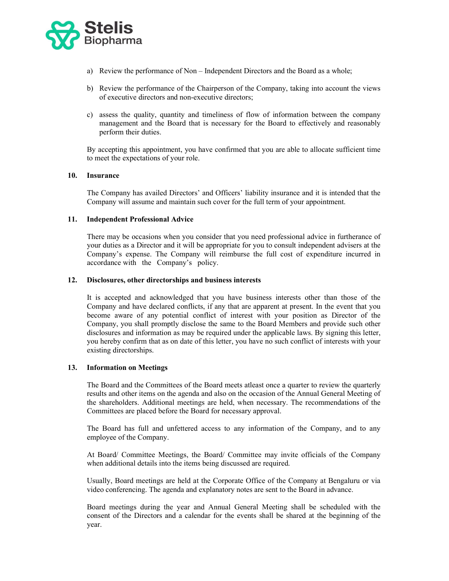

- a) Review the performance of Non Independent Directors and the Board as a whole;
- b) Review the performance of the Chairperson of the Company, taking into account the views of executive directors and non-executive directors;
- c) assess the quality, quantity and timeliness of flow of information between the company management and the Board that is necessary for the Board to effectively and reasonably perform their duties.

By accepting this appointment, you have confirmed that you are able to allocate sufficient time to meet the expectations of your role.

#### 10. Insurance

 The Company has availed Directors' and Officers' liability insurance and it is intended that the Company will assume and maintain such cover for the full term of your appointment.

#### 11. Independent Professional Advice

 There may be occasions when you consider that you need professional advice in furtherance of your duties as a Director and it will be appropriate for you to consult independent advisers at the Company's expense. The Company will reimburse the full cost of expenditure incurred in accordance with the Company's policy.

#### 12. Disclosures, other directorships and business interests

It is accepted and acknowledged that you have business interests other than those of the Company and have declared conflicts, if any that are apparent at present. In the event that you become aware of any potential conflict of interest with your position as Director of the Company, you shall promptly disclose the same to the Board Members and provide such other disclosures and information as may be required under the applicable laws. By signing this letter, you hereby confirm that as on date of this letter, you have no such conflict of interests with your existing directorships.

### 13. Information on Meetings

The Board and the Committees of the Board meets atleast once a quarter to review the quarterly results and other items on the agenda and also on the occasion of the Annual General Meeting of the shareholders. Additional meetings are held, when necessary. The recommendations of the Committees are placed before the Board for necessary approval.

The Board has full and unfettered access to any information of the Company, and to any employee of the Company.

At Board/ Committee Meetings, the Board/ Committee may invite officials of the Company when additional details into the items being discussed are required.

Usually, Board meetings are held at the Corporate Office of the Company at Bengaluru or via video conferencing. The agenda and explanatory notes are sent to the Board in advance.

Board meetings during the year and Annual General Meeting shall be scheduled with the consent of the Directors and a calendar for the events shall be shared at the beginning of the year.